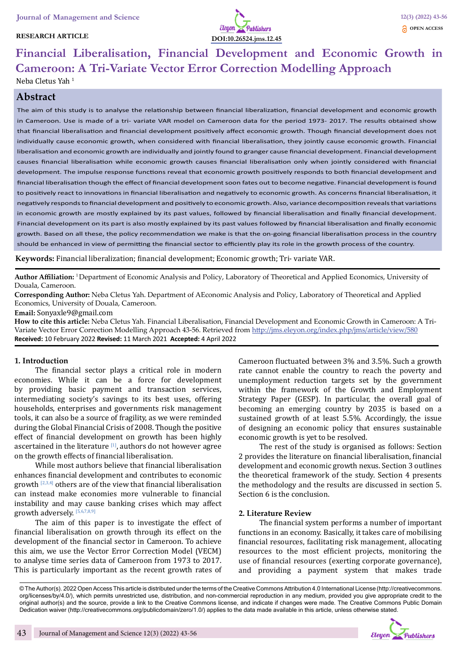### **RESEARCH ARTICLE**



# **Financial Liberalisation, Financial Development and Economic Growth in Cameroon: A Tri-Variate Vector Error Correction Modelling Approach** Neba Cletus Yah <sup>1</sup>

# **Abstract**

The aim of this study is to analyse the relationship between financial liberalization, financial development and economic growth in Cameroon. Use is made of a tri- variate VAR model on Cameroon data for the period 1973- 2017. The results obtained show that financial liberalisation and financial development positively affect economic growth. Though financial development does not individually cause economic growth, when considered with financial liberalisation, they jointly cause economic growth. Financial liberalisation and economic growth are individually and jointly found to granger cause financial development. Financial development causes financial liberalisation while economic growth causes financial liberalisation only when jointly considered with financial development. The impulse response functions reveal that economic growth positively responds to both financial development and financial liberalisation though the effect of financial development soon fates out to become negative. Financial development is found to positively react to innovations in financial liberalisation and negatively to economic growth. As concerns financial liberalisation, it negatively responds to financial development and positively to economic growth. Also, variance decomposition reveals that variations in economic growth are mostly explained by its past values, followed by financial liberalisation and finally financial development. Financial development on its part is also mostly explained by its past values followed by financial liberalisation and finally economic growth. Based on all these, the policy recommendation we make is that the on-going financial liberalisation process in the country should be enhanced in view of permitting the financial sector to efficiently play its role in the growth process of the country.

**Keywords:** Financial liberalization; financial development; Economic growth; Tri- variate VAR.

**Author Affiliation:** 1 Department of Economic Analysis and Policy, Laboratory of Theoretical and Applied Economics, University of Douala, Cameroon.

**Corresponding Author:** Neba Cletus Yah. Department of AEconomic Analysis and Policy, Laboratory of Theoretical and Applied Economics, University of Douala, Cameroon.

**Email:** Sonyaxle9@gmail.com

**How to cite this article:** Neba Cletus Yah. Financial Liberalisation, Financial Development and Economic Growth in Cameroon: A Tri-Variate Vector Error Correction Modelling Approach 43-56. Retrieved from http://jms.eleyon.org/index.php/jms/article/view/580 **Received:** 10 February 2022 **Revised:** 11 March 2021 **Accepted:** 4 April 2022

### **1. Introduction**

The financial sector plays a critical role in modern economies. While it can be a force for development by providing basic payment and transaction services, intermediating society's savings to its best uses, offering households, enterprises and governments risk management tools, it can also be a source of fragility, as we were reminded during the Global Financial Crisis of 2008. Though the positive effect of financial development on growth has been highly ascertained in the literature  $[1]$ , authors do not however agree on the growth effects of financial liberalisation.

While most authors believe that financial liberalisation enhances financial development and contributes to economic growth  $[2,3,4]$  others are of the view that financial liberalisation can instead make economies more vulnerable to financial instability and may cause banking crises which may affect growth adversely. [5,6,7,8,9]

The aim of this paper is to investigate the effect of financial liberalisation on growth through its effect on the development of the financial sector in Cameroon. To achieve this aim, we use the Vector Error Correction Model (VECM) to analyse time series data of Cameroon from 1973 to 2017. This is particularly important as the recent growth rates of Cameroon fluctuated between 3% and 3.5%. Such a growth rate cannot enable the country to reach the poverty and unemployment reduction targets set by the government within the framework of the Growth and Employment Strategy Paper (GESP). In particular, the overall goal of becoming an emerging country by 2035 is based on a sustained growth of at least 5.5%. Accordingly, the issue of designing an economic policy that ensures sustainable economic growth is yet to be resolved.

The rest of the study is organised as follows: Section 2 provides the literature on financial liberalisation, financial development and economic growth nexus. Section 3 outlines the theoretical framework of the study. Section 4 presents the methodology and the results are discussed in section 5. Section 6 is the conclusion.

#### **2. Literature Review**

The financial system performs a number of important functions in an economy. Basically, it takes care of mobilising financial resources, facilitating risk management, allocating resources to the most efficient projects, monitoring the use of financial resources (exerting corporate governance), and providing a payment system that makes trade

© The Author(s). 2022 Open Access This article is distributed under the terms of the Creative Commons Attribution 4.0 International License (http://creativecommons. org/licenses/by/4.0/), which permits unrestricted use, distribution, and non-commercial reproduction in any medium, provided you give appropriate credit to the original author(s) and the source, provide a link to the Creative Commons license, and indicate if changes were made. The Creative Commons Public Domain Dedication waiver (http://creativecommons.org/publicdomain/zero/1.0/) applies to the data made available in this article, unless otherwise stated.

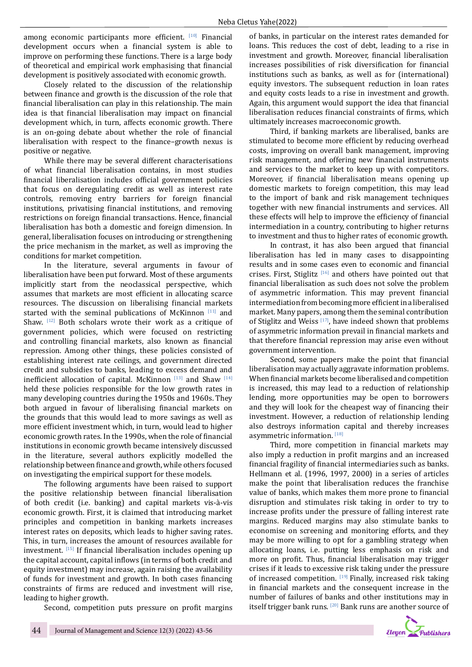among economic participants more efficient. [10] Financial development occurs when a financial system is able to improve on performing these functions. There is a large body of theoretical and empirical work emphasising that financial development is positively associated with economic growth.

Closely related to the discussion of the relationship between finance and growth is the discussion of the role that financial liberalisation can play in this relationship. The main idea is that financial liberalisation may impact on financial development which, in turn, affects economic growth. There is an on-going debate about whether the role of financial liberalisation with respect to the finance–growth nexus is positive or negative.

While there may be several different characterisations of what financial liberalisation contains, in most studies financial liberalisation includes official government policies that focus on deregulating credit as well as interest rate controls, removing entry barriers for foreign financial institutions, privatising financial institutions, and removing restrictions on foreign financial transactions. Hence, financial liberalisation has both a domestic and foreign dimension. In general, liberalisation focuses on introducing or strengthening the price mechanism in the market, as well as improving the conditions for market competition.

In the literature, several arguments in favour of liberalisation have been put forward. Most of these arguments implicitly start from the neoclassical perspective, which assumes that markets are most efficient in allocating scarce resources. The discussion on liberalising financial markets started with the seminal publications of McKinnon  $[11]$  and Shaw.  $[12]$  Both scholars wrote their work as a critique of government policies, which were focused on restricting and controlling financial markets, also known as financial repression. Among other things, these policies consisted of establishing interest rate ceilings, and government directed credit and subsidies to banks, leading to excess demand and inefficient allocation of capital. McKinnon  $[13]$  and Shaw  $[14]$ held these policies responsible for the low growth rates in many developing countries during the 1950s and 1960s. They both argued in favour of liberalising financial markets on the grounds that this would lead to more savings as well as more efficient investment which, in turn, would lead to higher economic growth rates. In the 1990s, when the role of financial institutions in economic growth became intensively discussed in the literature, several authors explicitly modelled the relationship between finance and growth, while others focused on investigating the empirical support for these models.

The following arguments have been raised to support the positive relationship between financial liberalisation of both credit (i.e. banking) and capital markets vis-à-vis economic growth. First, it is claimed that introducing market principles and competition in banking markets increases interest rates on deposits, which leads to higher saving rates. This, in turn, increases the amount of resources available for investment. [15] If financial liberalisation includes opening up the capital account, capital inflows (in terms of both credit and equity investment) may increase, again raising the availability of funds for investment and growth. In both cases financing constraints of firms are reduced and investment will rise, leading to higher growth.

Second, competition puts pressure on profit margins

of banks, in particular on the interest rates demanded for loans. This reduces the cost of debt, leading to a rise in investment and growth. Moreover, financial liberalisation increases possibilities of risk diversification for financial institutions such as banks, as well as for (international) equity investors. The subsequent reduction in loan rates and equity costs leads to a rise in investment and growth. Again, this argument would support the idea that financial liberalisation reduces financial constraints of firms, which ultimately increases macroeconomic growth.

Third, if banking markets are liberalised, banks are stimulated to become more efficient by reducing overhead costs, improving on overall bank management, improving risk management, and offering new financial instruments and services to the market to keep up with competitors. Moreover, if financial liberalisation means opening up domestic markets to foreign competition, this may lead to the import of bank and risk management techniques together with new financial instruments and services. All these effects will help to improve the efficiency of financial intermediation in a country, contributing to higher returns to investment and thus to higher rates of economic growth.

In contrast, it has also been argued that financial liberalisation has led in many cases to disappointing results and in some cases even to economic and financial crises. First, Stiglitz<sup>[16]</sup> and others have pointed out that financial liberalisation as such does not solve the problem of asymmetric information. This may prevent financial intermediation from becoming more efficient in a liberalised market. Many papers, among them the seminal contribution of Stiglitz and Weiss<sup>[17]</sup>, have indeed shown that problems of asymmetric information prevail in financial markets and that therefore financial repression may arise even without government intervention.

Second, some papers make the point that financial liberalisation may actually aggravate information problems. When financial markets become liberalised and competition is increased, this may lead to a reduction of relationship lending, more opportunities may be open to borrowers and they will look for the cheapest way of financing their investment. However, a reduction of relationship lending also destroys information capital and thereby increases asymmetric information. [18]

Third, more competition in financial markets may also imply a reduction in profit margins and an increased financial fragility of financial intermediaries such as banks. Hellmann et al. (1996, 1997, 2000) in a series of articles make the point that liberalisation reduces the franchise value of banks, which makes them more prone to financial disruption and stimulates risk taking in order to try to increase profits under the pressure of falling interest rate margins. Reduced margins may also stimulate banks to economise on screening and monitoring efforts, and they may be more willing to opt for a gambling strategy when allocating loans, i.e. putting less emphasis on risk and more on profit. Thus, financial liberalisation may trigger crises if it leads to excessive risk taking under the pressure of increased competition.  $[19]$  Finally, increased risk taking in financial markets and the consequent increase in the number of failures of banks and other institutions may in itself trigger bank runs. [20] Bank runs are another source of

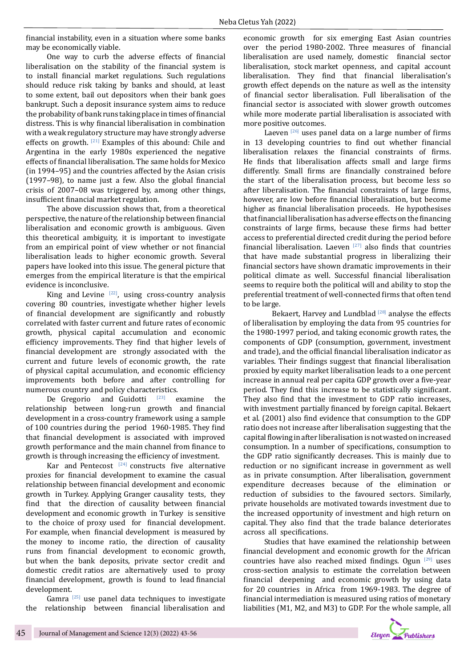financial instability, even in a situation where some banks may be economically viable.

One way to curb the adverse effects of financial liberalisation on the stability of the financial system is to install financial market regulations. Such regulations should reduce risk taking by banks and should, at least to some extent, bail out depositors when their bank goes bankrupt. Such a deposit insurance system aims to reduce the probability of bank runs taking place in times of financial distress. This is why financial liberalisation in combination with a weak regulatory structure may have strongly adverse effects on growth. [21] Examples of this abound: Chile and Argentina in the early 1980s experienced the negative effects of financial liberalisation. The same holds for Mexico (in 1994–95) and the countries affected by the Asian crisis (1997–98), to name just a few. Also the global financial crisis of 2007–08 was triggered by, among other things, insufficient financial market regulation.

The above discussion shows that, from a theoretical perspective, the nature of the relationship between financial liberalisation and economic growth is ambiguous. Given this theoretical ambiguity, it is important to investigate from an empirical point of view whether or not financial liberalisation leads to higher economic growth. Several papers have looked into this issue. The general picture that emerges from the empirical literature is that the empirical evidence is inconclusive.

King and Levine  $[22]$ , using cross-country analysis covering 80 countries, investigate whether higher levels of financial development are significantly and robustly correlated with faster current and future rates of economic growth, physical capital accumulation and economic efficiency improvements. They find that higher levels of financial development are strongly associated with the current and future levels of economic growth, the rate of physical capital accumulation, and economic efficiency improvements both before and after controlling for

numerous country and policy characteristics.<br>De Gregorio and Guidotti <sup>[23]</sup> examine De Gregorio and Guidotti  $[23]$  examine the relationship between long-run growth and financial development in a cross-country framework using a sample of 100 countries during the period 1960-1985. They find that financial development is associated with improved growth performance and the main channel from finance to growth is through increasing the efficiency of investment.

Kar and Pentecost  $[24]$  constructs five alternative proxies for financial development to examine the casual relationship between financial development and economic growth in Turkey. Applying Granger causality tests, they find that the direction of causality between financial development and economic growth in Turkey is sensitive to the choice of proxy used for financial development. For example, when financial development is measured by the money to income ratio, the direction of causality runs from financial development to economic growth, but when the bank deposits, private sector credit and domestic credit ratios are alternatively used to proxy financial development, growth is found to lead financial development.

Gamra<sup>[25]</sup> use panel data techniques to investigate the relationship between financial liberalisation and economic growth for six emerging East Asian countries over the period 1980-2002. Three measures of financial liberalisation are used namely, domestic financial sector liberalisation, stock market openness, and capital account liberalisation. They find that financial liberalisation's growth effect depends on the nature as well as the intensity of financial sector liberalisation. Full liberalisation of the financial sector is associated with slower growth outcomes while more moderate partial liberalisation is associated with more positive outcomes.

Laeven  $[26]$  uses panel data on a large number of firms in 13 developing countries to find out whether financial liberalisation relaxes the financial constraints of firms. He finds that liberalisation affects small and large firms differently. Small firms are financially constrained before the start of the liberalisation process, but become less so after liberalisation. The financial constraints of large firms, however, are low before financial liberalisation, but become higher as financial liberalisation proceeds. He hypothesises that financial liberalisation has adverse effects on the financing constraints of large firms, because these firms had better access to preferential directed credit during the period before financial liberalisation. Laeven  $[27]$  also finds that countries that have made substantial progress in liberalizing their financial sectors have shown dramatic improvements in their political climate as well. Successful financial liberalisation seems to require both the political will and ability to stop the preferential treatment of well-connected firms that often tend to be large.

Bekaert, Harvey and Lundblad  $[28]$  analyse the effects of liberalisation by employing the data from 95 countries for the 1980-1997 period, and taking economic growth rates, the components of GDP (consumption, government, investment and trade), and the official financial liberalisation indicator as variables. Their findings suggest that financial liberalisation proxied by equity market liberalisation leads to a one percent increase in annual real per capita GDP growth over a five-year period. They find this increase to be statistically significant. They also find that the investment to GDP ratio increases, with investment partially financed by foreign capital. Bekaert et al. (2001) also find evidence that consumption to the GDP ratio does not increase after liberalisation suggesting that the capital flowing in after liberalisation is not wasted on increased consumption. In a number of specifications, consumption to the GDP ratio significantly decreases. This is mainly due to reduction or no significant increase in government as well as in private consumption. After liberalisation, government expenditure decreases because of the elimination or reduction of subsidies to the favoured sectors. Similarly, private households are motivated towards investment due to the increased opportunity of investment and high return on capital. They also find that the trade balance deteriorates across all specifications.

Studies that have examined the relationship between financial development and economic growth for the African countries have also reached mixed findings. Ogun [29] uses cross-section analysis to estimate the correlation between financial deepening and economic growth by using data for 20 countries in Africa from 1969-1983. The degree of financial intermediation is measured using ratios of monetary liabilities (M1, M2, and M3) to GDP. For the whole sample, all

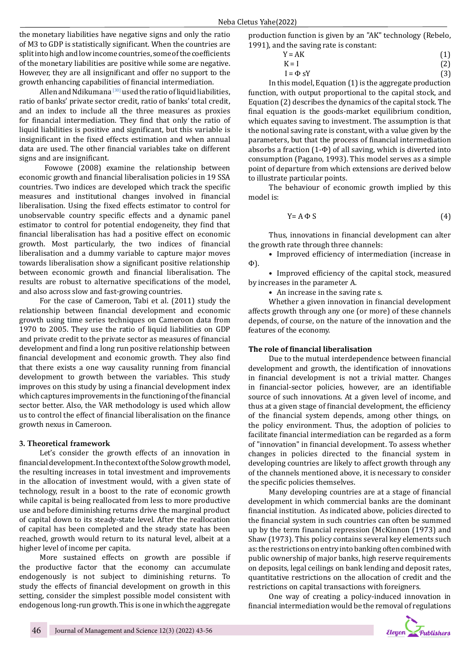the monetary liabilities have negative signs and only the ratio of M3 to GDP is statistically significant. When the countries are split into high and low income countries, some of the coefficients of the monetary liabilities are positive while some are negative. However, they are all insignificant and offer no support to the growth enhancing capabilities of financial intermediation.

Allen and Ndikumana  $[30]$  used the ratio of liquid liabilities, ratio of banks' private sector credit, ratio of banks' total credit, and an index to include all the three measures as proxies for financial intermediation. They find that only the ratio of liquid liabilities is positive and significant, but this variable is insignificant in the fixed effects estimation and when annual data are used. The other financial variables take on different signs and are insignificant.

 Fowowe (2008) examine the relationship between economic growth and financial liberalisation policies in 19 SSA countries. Two indices are developed which track the specific measures and institutional changes involved in financial liberalisation. Using the fixed effects estimator to control for unobservable country specific effects and a dynamic panel estimator to control for potential endogeneity, they find that financial liberalisation has had a positive effect on economic growth. Most particularly, the two indices of financial liberalisation and a dummy variable to capture major moves towards liberalisation show a significant positive relationship between economic growth and financial liberalisation. The results are robust to alternative specifications of the model, and also across slow and fast-growing countries.

For the case of Cameroon, Tabi et al. (2011) study the relationship between financial development and economic growth using time series techniques on Cameroon data from 1970 to 2005. They use the ratio of liquid liabilities on GDP and private credit to the private sector as measures of financial development and find a long run positive relationship between financial development and economic growth. They also find that there exists a one way causality running from financial development to growth between the variables. This study improves on this study by using a financial development index which captures improvements in the functioning of the financial sector better. Also, the VAR methodology is used which allow us to control the effect of financial liberalisation on the finance growth nexus in Cameroon.

#### **3. Theoretical framework**

Let's consider the growth effects of an innovation in financial development. In the context of the Solow growth model, the resulting increases in total investment and improvements in the allocation of investment would, with a given state of technology, result in a boost to the rate of economic growth while capital is being reallocated from less to more productive use and before diminishing returns drive the marginal product of capital down to its steady-state level. After the reallocation of capital has been completed and the steady state has been reached, growth would return to its natural level, albeit at a higher level of income per capita.

More sustained effects on growth are possible if the productive factor that the economy can accumulate endogenously is not subject to diminishing returns. To study the effects of financial development on growth in this setting, consider the simplest possible model consistent with endogenous long-run growth. This is one in which the aggregate

production function is given by an "AK" technology (Rebelo, 1991), and the saving rate is constant:<br> $Y = AK$ 

| $Y = AK$ | (1)    |
|----------|--------|
|          | $\sim$ |
| T 7      |        |

 $K = I$  (2)

$$
I = \Phi S Y
$$
 (3)

In this model, Equation (1) is the aggregate production function, with output proportional to the capital stock, and Equation (2) describes the dynamics of the capital stock. The final equation is the goods-market equilibrium condition, which equates saving to investment. The assumption is that the notional saving rate is constant, with a value given by the parameters, but that the process of financial intermediation absorbs a fraction (1-Φ) of all saving, which is diverted into consumption (Pagano, 1993). This model serves as a simple point of departure from which extensions are derived below to illustrate particular points.

The behaviour of economic growth implied by this model is:

$$
Y = A \Phi S \tag{4}
$$

Thus, innovations in financial development can alter the growth rate through three channels:

• Improved efficiency of intermediation (increase in Φ).

• Improved efficiency of the capital stock, measured by increases in the parameter A.

• An increase in the saving rate s.

Whether a given innovation in financial development affects growth through any one (or more) of these channels depends, of course, on the nature of the innovation and the features of the economy.

#### **The role of financial liberalisation**

Due to the mutual interdependence between financial development and growth, the identification of innovations in financial development is not a trivial matter. Changes in financial-sector policies, however, are an identifiable source of such innovations. At a given level of income, and thus at a given stage of financial development, the efficiency of the financial system depends, among other things, on the policy environment. Thus, the adoption of policies to facilitate financial intermediation can be regarded as a form of "innovation" in financial development. To assess whether changes in policies directed to the financial system in developing countries are likely to affect growth through any of the channels mentioned above, it is necessary to consider the specific policies themselves.

Many developing countries are at a stage of financial development in which commercial banks are the dominant financial institution. As indicated above, policies directed to the financial system in such countries can often be summed up by the term financial repression (McKinnon (1973) and Shaw (1973). This policy contains several key elements such as: the restrictions on entry into banking often combined with public ownership of major banks, high reserve requirements on deposits, legal ceilings on bank lending and deposit rates, quantitative restrictions on the allocation of credit and the restrictions on capital transactions with foreigners.

One way of creating a policy-induced innovation in financial intermediation would be the removal of regulations

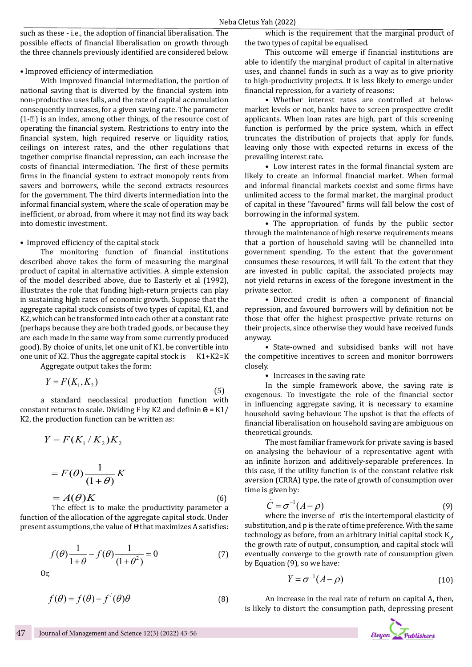such as these - i.e., the adoption of financial liberalisation. The possible effects of financial liberalisation on growth through the three channels previously identified are considered below.

#### • Improved efficiency of intermediation

With improved financial intermediation, the portion of national saving that is diverted by the financial system into non-productive uses falls, and the rate of capital accumulation consequently increases, for a given saving rate. The parameter  $(1-\mathbb{Z})$  is an index, among other things, of the resource cost of operating the financial system. Restrictions to entry into the financial system, high required reserve or liquidity ratios, ceilings on interest rates, and the other regulations that together comprise financial repression, can each increase the costs of financial intermediation. The first of these permits firms in the financial system to extract monopoly rents from savers and borrowers, while the second extracts resources for the government. The third diverts intermediation into the informal financial system, where the scale of operation may be inefficient, or abroad, from where it may not find its way back into domestic investment.

#### • Improved efficiency of the capital stock

The monitoring function of financial institutions described above takes the form of measuring the marginal product of capital in alternative activities. A simple extension of the model described above, due to Easterly et al (1992), illustrates the role that funding high-return projects can play in sustaining high rates of economic growth. Suppose that the aggregate capital stock consists of two types of capital, K1, and K2, which can be transformed into each other at a constant rate (perhaps because they are both traded goods, or because they are each made in the same way from some currently produced good). By choice of units, let one unit of K1, be convertible into one unit of K2. Thus the aggregate capital stock is  $K1+K2=K$ 

Aggregate output takes the form:

$$
Y = F(K_1, K_2) \tag{5}
$$

a standard neoclassical production function with constant returns to scale. Dividing F by K2 and definin  $\Theta = K1/$ K2, the production function can be written as:

$$
Y = F(K_1/K_2)K_2
$$
  
=  $F(\theta) \frac{1}{(1+\theta)} K$   
=  $A(\theta)K$  (6)

 The effect is to make the productivity parameter a function of the allocation of the aggregate capital stock. Under present assumptions, the value of  $\Theta$  that maximizes A satisfies:

$$
f(\theta) \frac{1}{1+\theta} - f(\theta) \frac{1}{(1+\theta^2)} = 0
$$
 (7)

Or,

$$
f(\theta) = f(\theta) - f'(\theta)\theta
$$
 (8)

which is the requirement that the marginal product of the two types of capital be equalised.

This outcome will emerge if financial institutions are able to identify the marginal product of capital in alternative uses, and channel funds in such as a way as to give priority to high-productivity projects. It is less likely to emerge under financial repression, for a variety of reasons:

• Whether interest rates are controlled at belowmarket levels or not, banks have to screen prospective credit applicants. When loan rates are high, part of this screening function is performed by the price system, which in effect truncates the distribution of projects that apply for funds, leaving only those with expected returns in excess of the prevailing interest rate.

• Low interest rates in the formal financial system are likely to create an informal financial market. When formal and informal financial markets coexist and some firms have unlimited access to the formal market, the marginal product of capital in these "favoured" firms will fall below the cost of borrowing in the informal system.

• The appropriation of funds by the public sector through the maintenance of high reserve requirements means that a portion of household saving will be channelled into government spending. To the extent that the government consumes these resources,  $\mathbb D$  will fall. To the extent that they are invested in public capital, the associated projects may not yield returns in excess of the foregone investment in the private sector.

• Directed credit is often a component of financial repression, and favoured borrowers will by definition not be those that offer the highest prospective private returns on their projects, since otherwise they would have received funds anyway.

• State-owned and subsidised banks will not have the competitive incentives to screen and monitor borrowers closely.

• Increases in the saving rate

In the simple framework above, the saving rate is exogenous. To investigate the role of the financial sector in influencing aggregate saving, it is necessary to examine household saving behaviour. The upshot is that the effects of financial liberalisation on household saving are ambiguous on theoretical grounds.

The most familiar framework for private saving is based on analysing the behaviour of a representative agent with an infinite horizon and additively-separable preferences. In this case, if the utility function is of the constant relative risk aversion (CRRA) type, the rate of growth of consumption over time is given by:

$$
\dot{C} = \sigma^{-1}(A - \rho) \tag{9}
$$

where the inverse of  $\sigma$  is the intertemporal elasticity of substitution, and p is the rate of time preference. With the same technology as before, from an arbitrary initial capital stock  $K_{0'}$ the growth rate of output, consumption, and capital stock will eventually converge to the growth rate of consumption given by Equation (9), so we have:

$$
Y = \sigma^{-1}(A - \rho) \tag{10}
$$

An increase in the real rate of return on capital A, then, is likely to distort the consumption path, depressing present

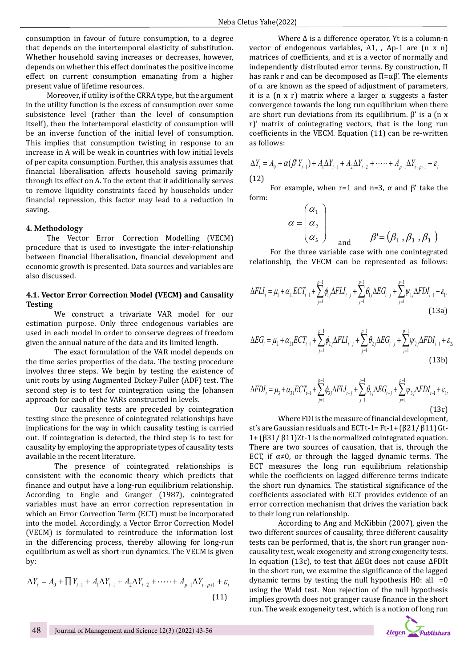consumption in favour of future consumption, to a degree that depends on the intertemporal elasticity of substitution. Whether household saving increases or decreases, however, depends on whether this effect dominates the positive income effect on current consumption emanating from a higher present value of lifetime resources.

Moreover, if utility is of the CRRA type, but the argument in the utility function is the excess of consumption over some subsistence level (rather than the level of consumption itself), then the intertemporal elasticity of consumption will be an inverse function of the initial level of consumption. This implies that consumption twisting in response to an increase in A will be weak in countries with low initial levels of per capita consumption. Further, this analysis assumes that financial liberalisation affects household saving primarily through its effect on A. To the extent that it additionally serves to remove liquidity constraints faced by households under financial repression, this factor may lead to a reduction in saving.

#### **4. Methodology**

The Vector Error Correction Modelling (VECM) procedure that is used to investigate the inter-relationship between financial liberalisation, financial development and economic growth is presented. Data sources and variables are also discussed.

### **4.1. Vector Error Correction Model (VECM) and Causality Testing**

We construct a trivariate VAR model for our estimation purpose. Only three endogenous variables are used in each model in order to conserve degrees of freedom given the annual nature of the data and its limited length.

The exact formulation of the VAR model depends on the time series properties of the data. The testing procedure involves three steps. We begin by testing the existence of unit roots by using Augmented Dickey-Fuller (ADF) test. The second step is to test for cointegration using the Johansen approach for each of the VARs constructed in levels.

Our causality tests are preceded by cointegration testing since the presence of cointegrated relationships have implications for the way in which causality testing is carried out. If cointegration is detected, the third step is to test for causality by employing the appropriate types of causality tests available in the recent literature.

The presence of cointegrated relationships is consistent with the economic theory which predicts that finance and output have a long-run equilibrium relationship. According to Engle and Granger (1987), cointegrated variables must have an error correction representation in which an Error Correction Term (ECT) must be incorporated into the model. Accordingly, a Vector Error Correction Model (VECM) is formulated to reintroduce the information lost in the differencing process, thereby allowing for long-run equilibrium as well as short-run dynamics. The VECM is given by:

$$
\Delta Y_t = A_0 + \prod Y_{t-1} + A_1 \Delta Y_{t-1} + A_2 \Delta Y_{t-2} + \cdots + A_{p-1} \Delta Y_{t-p+1} + \varepsilon_t
$$
\n(11)

Where Δ is a difference operator, Yt is a column-n vector of endogenous variables, A1, , Ap-1 are (n x n) matrices of coefficients, and εt is a vector of normally and independently distributed error terms. By construction, Π has rank r and can be decomposed as  $Π = αβ'$ . The elements of  $α$  are known as the speed of adjustment of parameters, it is a (n x r) matrix where a larger  $\alpha$  suggests a faster convergence towards the long run equilibrium when there are short run deviations from its equilibrium.  $β'$  is a (n x r)' matrix of cointegrating vectors, that is the long run coefficients in the VECM. Equation (11) can be re-written as follows:

$$
\Delta Y_t = A_0 + \alpha (\beta' Y_{t-1}) + A_1 \Delta Y_{t-1} + A_2 \Delta Y_{t-2} + \dots + A_{p-1} \Delta Y_{t-p+1} + \varepsilon_t
$$
\n(12)

For example, when r=1 and n=3,  $\alpha$  and  $\beta'$  take the form:

$$
\alpha = \begin{pmatrix} \alpha_1 \\ \alpha_2 \\ \alpha_3 \end{pmatrix}
$$
 and 
$$
\beta' = (\beta_1, \beta_2, \beta_3)
$$

For the three variable case with one conintegrated relationship, the VECM can be represented as follows:

$$
\Delta FLI_{t} = \mu_{1} + \alpha_{11} ECT_{t-1} + \sum_{j=1}^{p-1} \phi_{1j} \Delta FLI_{t-j} + \sum_{j=1}^{p-1} \theta_{1j} \Delta EG_{t-j} + \sum_{j=1}^{p-1} \psi_{1j} \Delta FDI_{t-1} + \varepsilon_{1t}
$$
\n(13a)

$$
\Delta EG_{t} = \mu_{2} + \alpha_{21} ECT_{t-1} + \sum_{j=1}^{p-1} \phi_{2j} \Delta FLI_{t-j} + \sum_{j=1}^{p-1} \theta_{2j} \Delta EG_{t-j} + \sum_{j=1}^{p-1} \psi_{2j} \Delta FDI_{t-1} + \varepsilon_{2t}
$$
\n(13b)

$$
\Delta FDI_t = \mu_3 + \alpha_{31} ECT_{t-1} + \sum_{j=1}^{p-1} \phi_{3j} \Delta FLI_{t-j} + \sum_{j=1}^{p-1} \theta_{3j} \Delta EG_{t-j} + \sum_{j=1}^{p-1} \psi_{3j} \Delta FDI_{t-1} + \varepsilon_{3t}
$$
\n(13c)

Where FDI is the measure of financial development, εt's are Gaussian residuals and ECTt-1= Ft-1+ (β21/ β11) Gt-1+ (β31/ β11)Zt-1 is the normalized cointegrated equation. There are two sources of causation, that is, through the ECT, if  $\alpha \neq 0$ , or through the lagged dynamic terms. The ECT measures the long run equilibrium relationship while the coefficients on lagged difference terms indicate the short run dynamics. The statistical significance of the coefficients associated with ECT provides evidence of an error correction mechanism that drives the variation back to their long run relationship.

According to Ang and McKibbin (2007), given the two different sources of causality, three different causality tests can be performed, that is, the short run granger noncausality test, weak exogeneity and strong exogeneity tests. In equation (13c), to test that ΔEGt does not cause ΔFDIt in the short run, we examine the significance of the lagged dynamic terms by testing the null hypothesis  $H0:$  all  $=0$ using the Wald test. Non rejection of the null hypothesis implies growth does not granger cause finance in the short run. The weak exogeneity test, which is a notion of long run

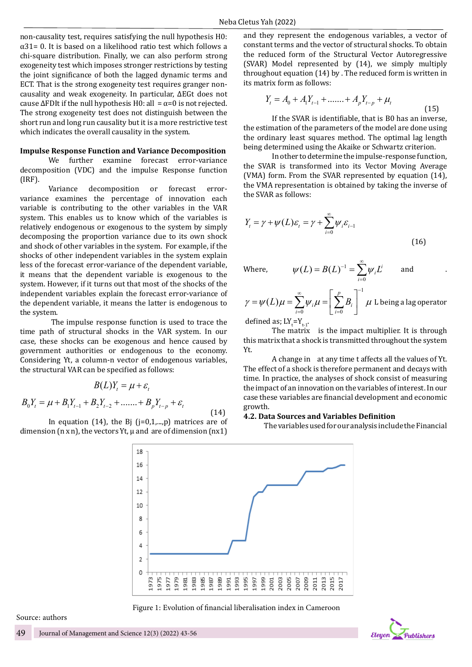non-causality test, requires satisfying the null hypothesis H0:  $\alpha$ 31= 0. It is based on a likelihood ratio test which follows a chi-square distribution. Finally, we can also perform strong exogeneity test which imposes stronger restrictions by testing the joint significance of both the lagged dynamic terms and ECT. That is the strong exogeneity test requires granger noncausality and weak exogeneity. In particular, ΔEGt does not cause  $\Delta$ FDIt if the null hypothesis H0: all =  $\alpha$ =0 is not rejected. The strong exogeneity test does not distinguish between the short run and long run causality but it is a more restrictive test which indicates the overall causality in the system.

#### **Impulse Response Function and Variance Decomposition**

We further examine forecast error-variance decomposition (VDC) and the impulse Response function (IRF).

Variance decomposition or forecast errorvariance examines the percentage of innovation each variable is contributing to the other variables in the VAR system. This enables us to know which of the variables is relatively endogenous or exogenous to the system by simply decomposing the proportion variance due to its own shock and shock of other variables in the system. For example, if the shocks of other independent variables in the system explain less of the forecast error-variance of the dependent variable, it means that the dependent variable is exogenous to the system. However, if it turns out that most of the shocks of the independent variables explain the forecast error-variance of the dependent variable, it means the latter is endogenous to the system.

 The impulse response function is used to trace the time path of structural shocks in the VAR system. In our case, these shocks can be exogenous and hence caused by government authorities or endogenous to the economy. Considering Yt, a column-n vector of endogenous variables, the structural VAR can be specified as follows:

$$
B(L)Y_t = \mu + \varepsilon_t
$$

$$
B_0 Y_t = \mu + B_1 Y_{t-1} + B_2 Y_{t-2} + \dots + B_p Y_{t-p} + \varepsilon_t
$$
\n(14)

In equation (14), the Bj (j=0,1,...,p) matrices are of dimension  $(n \times n)$ , the vectors Yt,  $\mu$  and are of dimension  $(nx1)$ 

and they represent the endogenous variables, a vector of constant terms and the vector of structural shocks. To obtain the reduced form of the Structural Vector Autoregressive (SVAR) Model represented by (14), we simply multiply throughout equation (14) by . The reduced form is written in its matrix form as follows:

$$
Y_{t} = A_{0} + A_{1}Y_{t-1} + \dots + A_{p}Y_{t-p} + \mu_{t}
$$
\n(15)

If the SVAR is identifiable, that is B0 has an inverse, the estimation of the parameters of the model are done using the ordinary least squares method. The optimal lag length being determined using the Akaike or Schwartz criterion.

In other to determine the impulse-response function, the SVAR is transformed into its Vector Moving Average (VMA) form. From the SVAR represented by equation (14), the VMA representation is obtained by taking the inverse of the SVAR as follows:

$$
Y_{t} = \gamma + \psi(L)\varepsilon_{t} = \gamma + \sum_{i=0}^{\infty} \psi_{i}\varepsilon_{i-1}
$$
\n(16)

Where,  $\psi(L) = B(L)^{-1}$  $(L) = B(L)^{-1} = \sum \psi_i L^i$  $\psi(L) = B(L)^{-1} = \sum_{k=1}^{\infty} \psi_k L^k$ 

$$
=B(L)^{-1}=\sum_{i=0}^{\infty}\psi_i L^i\qquad\text{and}\qquad .
$$

$$
\gamma = \psi(L)\mu = \sum_{i=0}^{\infty} \psi_i \mu = \left[\sum_{i=0}^{p} B_i\right]^{-1} \mu
$$
 L being a lag operator

 $\mathbf{0}$ 

*i*

defined as;  $LY_t = Y_{t-1}$ . The matrix is the impact multiplier. It is through this matrix that a shock is transmitted throughout the system

A change in at any time t affects all the values of Yt. The effect of a shock is therefore permanent and decays with time. In practice, the analyses of shock consist of measuring the impact of an innovation on the variables of interest. In our case these variables are financial development and economic growth.

#### **4.2. Data Sources and Variables Definition**

The variables used for our analysis include the Financial



Yt.

Figure 1: Evolution of financial liberalisation index in Cameroon

Source: authors

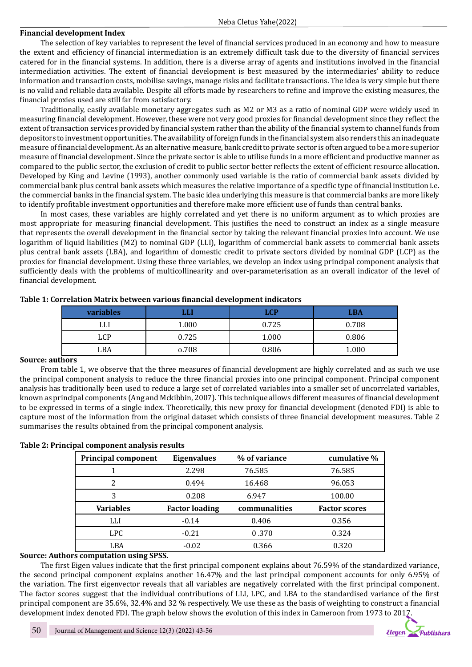### **Financial development Index**

The selection of key variables to represent the level of financial services produced in an economy and how to measure the extent and efficiency of financial intermediation is an extremely difficult task due to the diversity of financial services catered for in the financial systems. In addition, there is a diverse array of agents and institutions involved in the financial intermediation activities. The extent of financial development is best measured by the intermediaries' ability to reduce information and transaction costs, mobilise savings, manage risks and facilitate transactions. The idea is very simple but there is no valid and reliable data available. Despite all efforts made by researchers to refine and improve the existing measures, the financial proxies used are still far from satisfactory.

Traditionally, easily available monetary aggregates such as M2 or M3 as a ratio of nominal GDP were widely used in measuring financial development. However, these were not very good proxies for financial development since they reflect the extent of transaction services provided by financial system rather than the ability of the financial system to channel funds from depositors to investment opportunities. The availability of foreign funds in the financial system also renders this an inadequate measure of financial development. As an alternative measure, bank credit to private sector is often argued to be a more superior measure of financial development. Since the private sector is able to utilise funds in a more efficient and productive manner as compared to the public sector, the exclusion of credit to public sector better reflects the extent of efficient resource allocation. Developed by King and Levine (1993), another commonly used variable is the ratio of commercial bank assets divided by commercial bank plus central bank assets which measures the relative importance of a specific type of financial institution i.e. the commercial banks in the financial system. The basic idea underlying this measure is that commercial banks are more likely to identify profitable investment opportunities and therefore make more efficient use of funds than central banks.

In most cases, these variables are highly correlated and yet there is no uniform argument as to which proxies are most appropriate for measuring financial development. This justifies the need to construct an index as a single measure that represents the overall development in the financial sector by taking the relevant financial proxies into account. We use logarithm of liquid liabilities (M2) to nominal GDP (LLI), logarithm of commercial bank assets to commercial bank assets plus central bank assets (LBA), and logarithm of domestic credit to private sectors divided by nominal GDP (LCP) as the proxies for financial development. Using these three variables, we develop an index using principal component analysis that sufficiently deals with the problems of multicollinearity and over-parameterisation as an overall indicator of the level of financial development.

| _                |       |       |            |  |
|------------------|-------|-------|------------|--|
| <b>variables</b> |       | .CP   | <b>LBA</b> |  |
| LLI              | 1.000 | 0.725 | 0.708      |  |
| LCP              | 0.725 | 1.000 | 0.806      |  |
| LBA              | o.708 | 0.806 | 1.000      |  |

#### **Table 1: Correlation Matrix between various financial development indicators**

### **Source: authors**

From table 1, we observe that the three measures of financial development are highly correlated and as such we use the principal component analysis to reduce the three financial proxies into one principal component. Principal component analysis has traditionally been used to reduce a large set of correlated variables into a smaller set of uncorrelated variables, known as principal components (Ang and Mckibbin, 2007). This technique allows different measures of financial development to be expressed in terms of a single index. Theoretically, this new proxy for financial development (denoted FDI) is able to capture most of the information from the original dataset which consists of three financial development measures. Table 2 summarises the results obtained from the principal component analysis.

# **Table 2: Principal component analysis results**

| <b>Principal component</b> | <b>Eigenvalues</b>    | % of variance | cumulative %         |  |
|----------------------------|-----------------------|---------------|----------------------|--|
|                            | 2.298                 | 76.585        | 76.585               |  |
| 2                          | 0.494                 | 16.468        | 96.053               |  |
| 3                          | 0.208                 | 6.947         | 100.00               |  |
| <b>Variables</b>           | <b>Factor loading</b> | communalities | <b>Factor scores</b> |  |
| LLI                        | $-0.14$               | 0.406         | 0.356                |  |
| <b>LPC</b>                 | $-0.21$               | 0.370         | 0.324                |  |
| LBA                        | $-0.02$               | 0.366         | 0.320                |  |

# **Source: Authors computation using SPSS.**

The first Eigen values indicate that the first principal component explains about 76.59% of the standardized variance, the second principal component explains another 16.47% and the last principal component accounts for only 6.95% of the variation. The first eigenvector reveals that all variables are negatively correlated with the first principal component. The factor scores suggest that the individual contributions of LLI, LPC, and LBA to the standardised variance of the first principal component are 35.6%, 32.4% and 32 % respectively. We use these as the basis of weighting to construct a financial development index denoted FDI. The graph below shows the evolution of this index in Cameroon from 1973 to 2017.

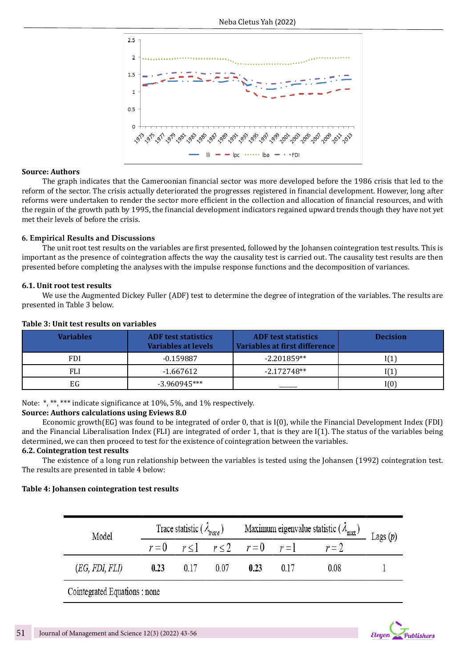

### **Source: Authors**

The graph indicates that the Cameroonian financial sector was more developed before the 1986 crisis that led to the reform of the sector. The crisis actually deteriorated the progresses registered in financial development. However, long after reforms were undertaken to render the sector more efficient in the collection and allocation of financial resources, and with the regain of the growth path by 1995, the financial development indicators regained upward trends though they have not yet met their levels of before the crisis.

### **6. Empirical Results and Discussions**

The unit root test results on the variables are first presented, followed by the Johansen cointegration test results. This is important as the presence of cointegration affects the way the causality test is carried out. The causality test results are then presented before completing the analyses with the impulse response functions and the decomposition of variances.

### **6.1. Unit root test results**

We use the Augmented Dickey Fuller (ADF) test to determine the degree of integration of the variables. The results are presented in Table 3 below.

| <b>Variables</b> | <b>ADF</b> test statistics<br>Variables at levels | <b>ADF</b> test statistics<br>Variables at first difference | <b>Decision</b> |
|------------------|---------------------------------------------------|-------------------------------------------------------------|-----------------|
| <b>FDI</b>       | $-0.159887$                                       | $-2.201859**$                                               |                 |
| FLI              | -1.667612                                         | $-2.172748**$                                               |                 |
| EG               | $-3.960945***$                                    |                                                             | I(0)            |

### **Table 3: Unit test results on variables**

Note: \*, \*\*, \*\*\* indicate significance at 10%, 5%, and 1% respectively.

# **Source: Authors calculations using Eviews 8.0**

Economic growth(EG) was found to be integrated of order 0, that is I(0), while the Financial Development Index (FDI) and the Financial Liberalisation Index (FLI) are integrated of order 1, that is they are I(1). The status of the variables being determined, we can then proceed to test for the existence of cointegration between the variables.

### **6.2. Cointegration test results**

The existence of a long run relationship between the variables is tested using the Johansen (1992) cointegration test. The results are presented in table 4 below:

# **Table 4: Johansen cointegration test results**

| Model          | Trace statistic ( $\lambda_{\text{trace}}$ ) |      | Maximum eigenvalue statistic $(\lambda_{\text{max}})$ Lags (p) |                                       |      |       |  |
|----------------|----------------------------------------------|------|----------------------------------------------------------------|---------------------------------------|------|-------|--|
|                |                                              |      |                                                                | $r=0$ $r \le 1$ $r \le 2$ $r=0$ $r=1$ |      | $r=2$ |  |
| (EG, FDI, FLI) | 0.23                                         | 0.17 | 0.07                                                           | 0.23                                  | 0.17 | 0.08  |  |

Cointegrated Equations : none

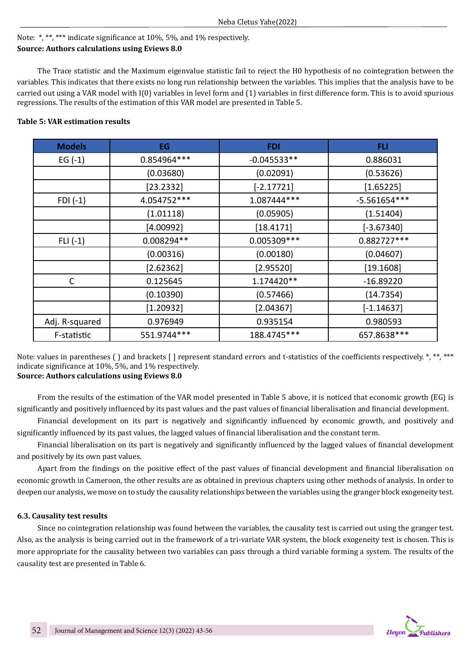# Note: \*, \*\*, \*\*\* indicate significance at 10%, 5%, and 1% respectively. **Source: Authors calculations using Eviews 8.0**

The Trace statistic and the Maximum eigenvalue statistic fail to reject the H0 hypothesis of no cointegration between the variables. This indicates that there exists no long run relationship between the variables. This implies that the analysis have to be carried out using a VAR model with I(0) variables in level form and (1) variables in first difference form. This is to avoid spurious regressions. The results of the estimation of this VAR model are presented in Table 5.

# **Table 5: VAR estimation results**

| <b>Models</b>  | EG           | <b>FDI</b>    | FLI            |
|----------------|--------------|---------------|----------------|
| $EG(-1)$       | 0.854964 *** | $-0.045533**$ | 0.886031       |
|                | (0.03680)    | (0.02091)     | (0.53626)      |
|                | [23.2332]    | $[-2.17721]$  | [1.65225]      |
| $FDI(-1)$      | 4.054752 *** | 1.087444***   | $-5.561654***$ |
|                | (1.01118)    | (0.05905)     | (1.51404)      |
|                | [4.00992]    | [18.4171]     | $[-3.67340]$   |
| $FLI(-1)$      | 0.008294**   | 0.005309 ***  | 0.882727***    |
|                | (0.00316)    | (0.00180)     | (0.04607)      |
|                | [2.62362]    | [2.95520]     | [19.1608]      |
| C              | 0.125645     | 1.174420**    | $-16.89220$    |
|                | (0.10390)    | (0.57466)     | (14.7354)      |
|                | [1.20932]    | [2.04367]     | $[-1.14637]$   |
| Adj. R-squared | 0.976949     | 0.935154      | 0.980593       |
| F-statistic    | 551.9744***  | 188.4745***   | 657.8638***    |

Note: values in parentheses () and brackets [] represent standard errors and t-statistics of the coefficients respectively. \*, \*\*\*, \*\*\* indicate significance at 10%, 5%, and 1% respectively. **Source: Authors calculations using Eviews 8.0**

From the results of the estimation of the VAR model presented in Table 5 above, it is noticed that economic growth (EG) is significantly and positively influenced by its past values and the past values of financial liberalisation and financial development.

Financial development on its part is negatively and significantly influenced by economic growth, and positively and significantly influenced by its past values, the lagged values of financial liberalisation and the constant term.

Financial liberalisation on its part is negatively and significantly influenced by the lagged values of financial development and positively by its own past values.

Apart from the findings on the positive effect of the past values of financial development and financial liberalisation on economic growth in Cameroon, the other results are as obtained in previous chapters using other methods of analysis. In order to deepen our analysis, we move on to study the causality relationships between the variables using the granger block exogeneity test.

# **6.3. Causality test results**

Since no cointegration relationship was found between the variables, the causality test is carried out using the granger test. Also, as the analysis is being carried out in the framework of a tri-variate VAR system, the block exogeneity test is chosen. This is more appropriate for the causality between two variables can pass through a third variable forming a system. The results of the causality test are presented in Table 6.

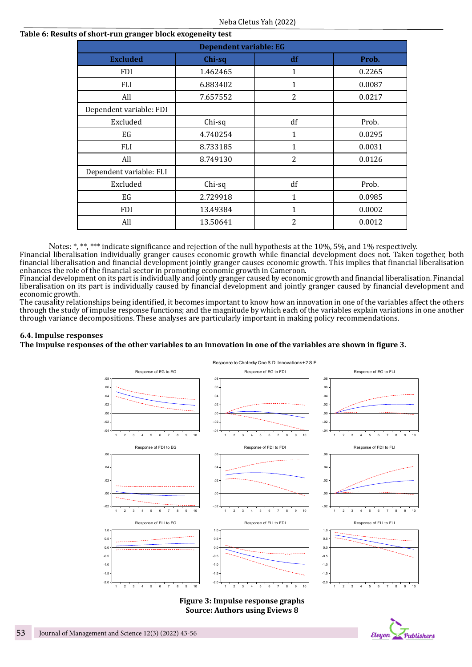# **Table 6: Results of short-run granger block exogeneity test**

| <b>Dependent variable: EG</b>            |          |                |        |  |  |  |  |
|------------------------------------------|----------|----------------|--------|--|--|--|--|
| <b>Excluded</b><br>Chi-sq<br>df<br>Prob. |          |                |        |  |  |  |  |
| <b>FDI</b>                               | 1.462465 | 1              | 0.2265 |  |  |  |  |
| <b>FLI</b>                               | 6.883402 | 1              | 0.0087 |  |  |  |  |
| All                                      | 7.657552 | $\overline{2}$ | 0.0217 |  |  |  |  |
| Dependent variable: FDI                  |          |                |        |  |  |  |  |
| Excluded                                 | Chi-sq   | df             | Prob.  |  |  |  |  |
| EG                                       | 4.740254 | 1              | 0.0295 |  |  |  |  |
| FLI                                      | 8.733185 | $\mathbf{1}$   | 0.0031 |  |  |  |  |
| All                                      | 8.749130 | 2              | 0.0126 |  |  |  |  |
| Dependent variable: FLI                  |          |                |        |  |  |  |  |
| Excluded                                 | Chi-sq   | df             | Prob.  |  |  |  |  |
| EG                                       | 2.729918 | 1              | 0.0985 |  |  |  |  |
| FDI                                      | 13.49384 | 1              | 0.0002 |  |  |  |  |
| All                                      | 13.50641 | $\overline{2}$ | 0.0012 |  |  |  |  |

Notes: \*, \*\*, \*\*\* indicate significance and rejection of the null hypothesis at the 10%, 5%, and 1% respectively.

Financial liberalisation individually granger causes economic growth while financial development does not. Taken together, both financial liberalisation and financial development jointly granger causes economic growth. This implies that financial liberalisation enhances the role of the financial sector in promoting economic growth in Cameroon.

Financial development on its part is individually and jointly granger caused by economic growth and financial liberalisation. Financial liberalisation on its part is individually caused by financial development and jointly granger caused by financial development and economic growth.

The causality relationships being identified, it becomes important to know how an innovation in one of the variables affect the others through the study of impulse response functions; and the magnitude by which each of the variables explain variations in one another through variance decompositions. These analyses are particularly important in making policy recommendations.

### **6.4. Impulse responses**

**The impulse responses of the other variables to an innovation in one of the variables are shown in figure 3.**



**Figure 3: Impulse response graphs Source: Authors using Eviews 8**

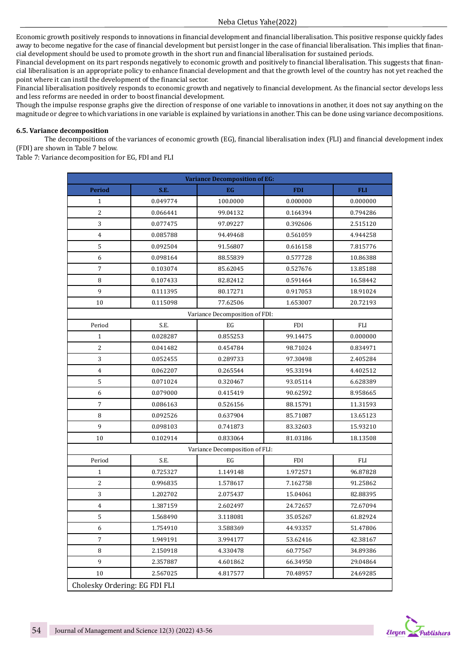Economic growth positively responds to innovations in financial development and financial liberalisation. This positive response quickly fades away to become negative for the case of financial development but persist longer in the case of financial liberalisation. This implies that financial development should be used to promote growth in the short run and financial liberalisation for sustained periods.

Financial development on its part responds negatively to economic growth and positively to financial liberalisation. This suggests that financial liberalisation is an appropriate policy to enhance financial development and that the growth level of the country has not yet reached the point where it can instil the development of the financial sector.

Financial liberalisation positively responds to economic growth and negatively to financial development. As the financial sector develops less and less reforms are needed in order to boost financial development.

Though the impulse response graphs give the direction of response of one variable to innovations in another, it does not say anything on the magnitude or degree to which variations in one variable is explained by variations in another. This can be done using variance decompositions.

#### **6.5. Variance decomposition**

The decompositions of the variances of economic growth (EG), financial liberalisation index (FLI) and financial development index (FDI) are shown in Table 7 below.

Table 7: Variance decomposition for EG, FDI and FLI

| <b>Variance Decomposition of EG:</b> |          |                                |            |            |  |
|--------------------------------------|----------|--------------------------------|------------|------------|--|
| <b>Period</b>                        | S.E.     | EG                             | <b>FDI</b> | <b>FLI</b> |  |
| $\mathbf{1}$                         | 0.049774 | 100.0000                       | 0.000000   | 0.000000   |  |
| $\overline{c}$                       | 0.066441 | 99.04132                       | 0.164394   | 0.794286   |  |
| 3                                    | 0.077475 | 97.09227                       | 0.392606   | 2.515120   |  |
| 4                                    | 0.085788 | 94.49468                       | 0.561059   | 4.944258   |  |
| 5                                    | 0.092504 | 91.56807                       | 0.616158   | 7.815776   |  |
| $\boldsymbol{6}$                     | 0.098164 | 88.55839                       | 0.577728   | 10.86388   |  |
| $\sqrt{ }$                           | 0.103074 | 85.62045                       | 0.527676   | 13.85188   |  |
| 8                                    | 0.107433 | 82.82412                       | 0.591464   | 16.58442   |  |
| 9                                    | 0.111395 | 80.17271                       | 0.917053   | 18.91024   |  |
| $10\,$                               | 0.115098 | 77.62506                       | 1.653007   | 20.72193   |  |
|                                      |          | Variance Decomposition of FDI: |            |            |  |
| Period                               | S.E.     | EG                             | <b>FDI</b> | FLI        |  |
| $\mathbf{1}$                         | 0.028287 | 0.855253                       | 99.14475   | 0.000000   |  |
| $\overline{c}$                       | 0.041482 | 0.454784                       | 98.71024   | 0.834971   |  |
| 3                                    | 0.052455 | 0.289733                       | 97.30498   | 2.405284   |  |
| $\overline{4}$                       | 0.062207 | 0.265544                       | 95.33194   | 4.402512   |  |
| $\mathsf S$                          | 0.071024 | 0.320467                       | 93.05114   | 6.628389   |  |
| 6                                    | 0.079000 | 0.415419                       | 90.62592   | 8.958665   |  |
| 7                                    | 0.086163 | 0.526156                       | 88.15791   | 11.31593   |  |
| 8                                    | 0.092526 | 0.637904                       | 85.71087   | 13.65123   |  |
| 9                                    | 0.098103 | 0.741873                       | 83.32603   | 15.93210   |  |
| 10                                   | 0.102914 | 0.833064                       | 81.03186   | 18.13508   |  |
|                                      |          | Variance Decomposition of FLI: |            |            |  |
| Period                               | S.E.     | EG                             | <b>FDI</b> | <b>FLI</b> |  |
| $\mathbf{1}$                         | 0.725327 | 1.149148                       | 1.972571   | 96.87828   |  |
| $\overline{2}$                       | 0.996835 | 1.578617                       | 7.162758   | 91.25862   |  |
| 3                                    | 1.202702 | 2.075437                       | 15.04061   | 82.88395   |  |
| $\overline{4}$                       | 1.387159 | 2.602497                       | 24.72657   | 72.67094   |  |
| 5                                    | 1.568490 | 3.118081                       | 35.05267   | 61.82924   |  |
| 6                                    | 1.754910 | 3.588369                       | 44.93357   | 51.47806   |  |
| 7                                    | 1.949191 | 3.994177                       | 53.62416   | 42.38167   |  |
| 8                                    | 2.150918 | 4.330478                       | 60.77567   | 34.89386   |  |
| 9                                    | 2.357887 | 4.601862                       | 66.34950   | 29.04864   |  |
| 10                                   | 2.567025 | 4.817577                       | 70.48957   | 24.69285   |  |
| Cholesky Ordering: EG FDI FLI        |          |                                |            |            |  |

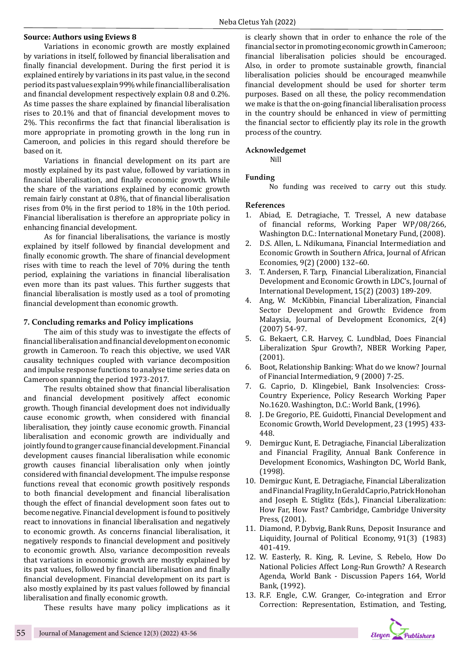### **Source: Authors using Eviews 8**

Variations in economic growth are mostly explained by variations in itself, followed by financial liberalisation and finally financial development. During the first period it is explained entirely by variations in its past value, in the second period its past values explain 99% while financial liberalisation and financial development respectively explain 0.8 and 0.2%. As time passes the share explained by financial liberalisation rises to 20.1% and that of financial development moves to 2%. This reconfirms the fact that financial liberalisation is more appropriate in promoting growth in the long run in Cameroon, and policies in this regard should therefore be based on it.

Variations in financial development on its part are mostly explained by its past value, followed by variations in financial liberalisation, and finally economic growth. While the share of the variations explained by economic growth remain fairly constant at 0.8%, that of financial liberalisation rises from 0% in the first period to 18% in the 10th period. Financial liberalisation is therefore an appropriate policy in enhancing financial development.

As for financial liberalisations, the variance is mostly explained by itself followed by financial development and finally economic growth. The share of financial development rises with time to reach the level of 70% during the tenth period, explaining the variations in financial liberalisation even more than its past values. This further suggests that financial liberalisation is mostly used as a tool of promoting financial development than economic growth.

### **7. Concluding remarks and Policy implications**

The aim of this study was to investigate the effects of financial liberalisation and financial development on economic growth in Cameroon. To reach this objective, we used VAR causality techniques coupled with variance decomposition and impulse response functions to analyse time series data on Cameroon spanning the period 1973-2017.

The results obtained show that financial liberalisation and financial development positively affect economic growth. Though financial development does not individually cause economic growth, when considered with financial liberalisation, they jointly cause economic growth. Financial liberalisation and economic growth are individually and jointly found to granger cause financial development. Financial development causes financial liberalisation while economic growth causes financial liberalisation only when jointly considered with financial development. The impulse response functions reveal that economic growth positively responds to both financial development and financial liberalisation though the effect of financial development soon fates out to become negative. Financial development is found to positively react to innovations in financial liberalisation and negatively to economic growth. As concerns financial liberalisation, it negatively responds to financial development and positively to economic growth. Also, variance decomposition reveals that variations in economic growth are mostly explained by its past values, followed by financial liberalisation and finally financial development. Financial development on its part is also mostly explained by its past values followed by financial liberalisation and finally economic growth.

These results have many policy implications as it

is clearly shown that in order to enhance the role of the financial sector in promoting economic growth in Cameroon; financial liberalisation policies should be encouraged. Also, in order to promote sustainable growth, financial liberalisation policies should be encouraged meanwhile financial development should be used for shorter term purposes. Based on all these, the policy recommendation we make is that the on-going financial liberalisation process in the country should be enhanced in view of permitting the financial sector to efficiently play its role in the growth process of the country.

### **Acknowledgemet**

Nill

### **Funding**

No funding was received to carry out this study.

#### **References**

- 1. Abiad, E. Detragiache, T. Tressel, A new database of financial reforms, Working Paper WP/08/266, Washington D.C.: International Monetary Fund, (2008).
- 2. D.S. Allen, L. Ndikumana, Financial Intermediation and Economic Growth in Southern Africa, Journal of African Economies, 9(2) (2000) 132–60.
- 3. T. Andersen, F. Tarp, Financial Liberalization, Financial Development and Economic Growth in LDC's, Journal of International Development, 15(2) (2003) 189-209.
- 4. Ang, W. McKibbin, Financial Liberalization, Financial Sector Development and Growth: Evidence from Malaysia, Journal of Development Economics, 2(4) (2007) 54-97.
- 5. G. Bekaert, C.R. Harvey, C. Lundblad, Does Financial Liberalization Spur Growth?, NBER Working Paper, (2001).
- 6. Boot, Relationship Banking: What do we know? Journal of Financial Intermediation, 9 (2000) 7-25.
- 7. G. Caprio, D. Klingebiel, Bank Insolvencies: Cross-Country Experience, Policy Research Working Paper No.1620. Washington, D.C.: World Bank, (1996).
- 8. J. De Gregorio, P.E. Guidotti, Financial Development and Economic Growth, World Development, 23 (1995) 433- 448.
- 9. Demirguc Kunt, E. Detragiache, Financial Liberalization and Financial Fragility, Annual Bank Conference in Development Economics, Washington DC, World Bank, (1998).
- 10. Demirguc Kunt, E. Detragiache, Financial Liberalization and Financial Fragility, In Gerald Caprio, Patrick Honohan and Joseph E. Stiglitz (Eds.), Financial Liberalization: How Far, How Fast? Cambridge, Cambridge University Press, (2001).
- 11. Diamond, P. Dybvig, Bank Runs, Deposit Insurance and Liquidity, Journal of Political Economy, 91(3) (1983) 401-419.
- 12. W. Easterly, R. King, R. Levine, S. Rebelo, How Do National Policies Affect Long-Run Growth? A Research Agenda, World Bank - Discussion Papers 164, World Bank, (1992).
- 13. R.F. Engle, C.W. Granger, Co-integration and Error Correction: Representation, Estimation, and Testing,